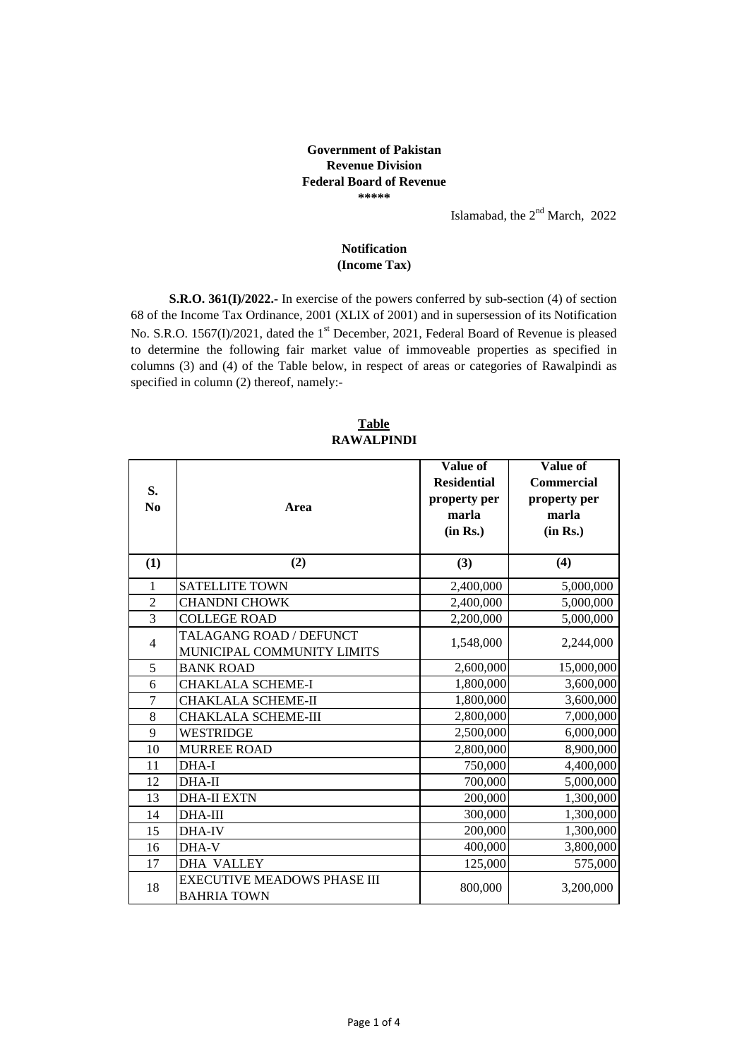## **Government of Pakistan Revenue Division Federal Board of Revenue \*\*\*\*\***

Islamabad, the  $2<sup>nd</sup>$  March, 2022

## **(Income Tax) Notification**

**S.R.O. 361(I)/2022.-** In exercise of the powers conferred by sub-section (4) of section 68 of the Income Tax Ordinance, 2001 (XLIX of 2001) and in supersession of its Notification No. S.R.O. 1567(I)/2021, dated the 1<sup>st</sup> December, 2021, Federal Board of Revenue is pleased to determine the following fair market value of immoveable properties as specified in columns (3) and (4) of the Table below, in respect of areas or categories of Rawalpindi as specified in column (2) thereof, namely:-

| S.<br>No       | Area                                                  | <b>Value of</b><br><b>Residential</b><br>property per<br>marla | Value of<br><b>Commercial</b><br>property per<br>marla |
|----------------|-------------------------------------------------------|----------------------------------------------------------------|--------------------------------------------------------|
|                |                                                       | (in Rs.)                                                       | (in Rs.)                                               |
| (1)            | (2)                                                   | (3)                                                            | (4)                                                    |
| 1              | <b>SATELLITE TOWN</b>                                 | 2,400,000                                                      | 5,000,000                                              |
| $\overline{2}$ | <b>CHANDNI CHOWK</b>                                  | 2,400,000                                                      | 5,000,000                                              |
| $\overline{3}$ | <b>COLLEGE ROAD</b>                                   | 2,200,000                                                      | 5,000,000                                              |
| 4              | TALAGANG ROAD / DEFUNCT<br>MUNICIPAL COMMUNITY LIMITS | 1,548,000                                                      | 2,244,000                                              |
| 5              | <b>BANK ROAD</b>                                      | 2,600,000                                                      | 15,000,000                                             |
| 6              | <b>CHAKLALA SCHEME-I</b>                              | 1,800,000                                                      | 3,600,000                                              |
| $\overline{7}$ | CHAKLALA SCHEME-II                                    | 1,800,000                                                      | 3,600,000                                              |
| 8              | CHAKLALA SCHEME-III                                   | 2,800,000                                                      | 7,000,000                                              |
| 9              | WESTRIDGE                                             | 2,500,000                                                      | 6,000,000                                              |
| 10             | <b>MURREE ROAD</b>                                    | 2,800,000                                                      | 8,900,000                                              |
| 11             | DHA-I                                                 | 750,000                                                        | 4,400,000                                              |
| 12             | <b>DHA-II</b>                                         | 700,000                                                        | 5,000,000                                              |
| 13             | <b>DHA-II EXTN</b>                                    | 200,000                                                        | 1,300,000                                              |
| 14             | <b>DHA-III</b>                                        | 300,000                                                        | 1,300,000                                              |
| 15             | DHA-IV                                                | 200,000                                                        | 1,300,000                                              |
| 16             | DHA-V                                                 | 400,000                                                        | 3,800,000                                              |
| 17             | <b>DHA VALLEY</b>                                     | 125,000                                                        | 575,000                                                |
| 18             | EXECUTIVE MEADOWS PHASE III<br><b>BAHRIA TOWN</b>     | 800,000                                                        | 3,200,000                                              |

**RAWALPINDI Table**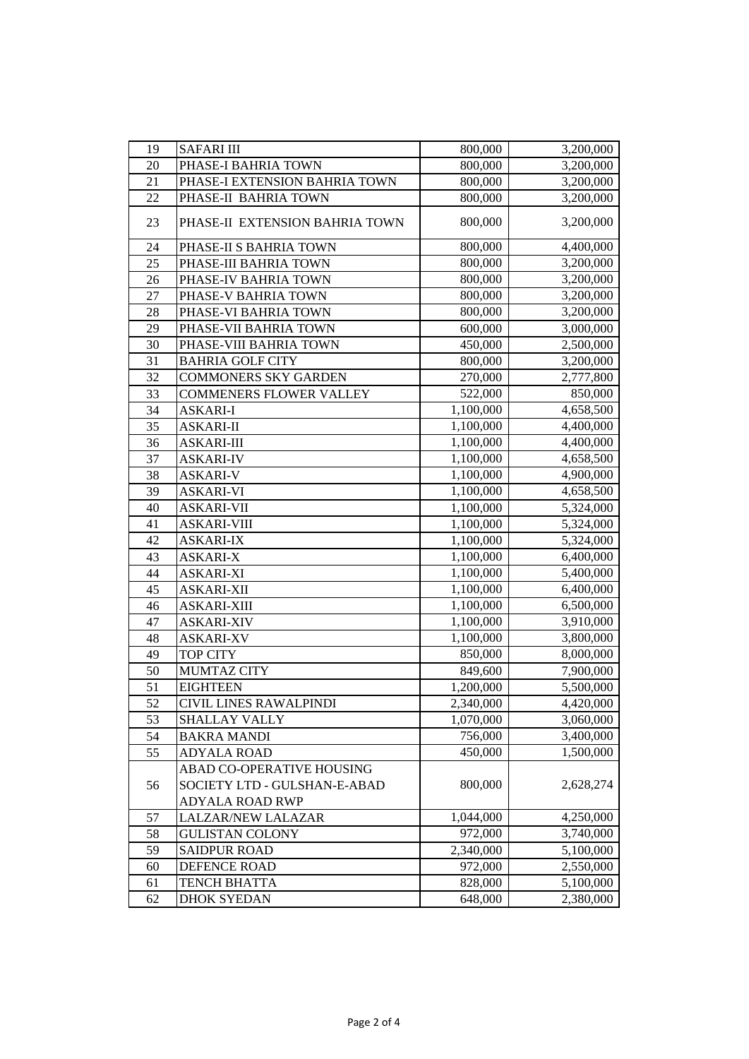| 19 | <b>SAFARI III</b>              | 800,000   | 3,200,000              |
|----|--------------------------------|-----------|------------------------|
| 20 | PHASE-I BAHRIA TOWN            | 800,000   | 3,200,000              |
| 21 | PHASE-I EXTENSION BAHRIA TOWN  | 800,000   | 3,200,000              |
| 22 | PHASE-II BAHRIA TOWN           | 800,000   | 3,200,000              |
| 23 | PHASE-II EXTENSION BAHRIA TOWN | 800,000   | 3,200,000              |
| 24 | PHASE-II S BAHRIA TOWN         | 800,000   | 4,400,000              |
| 25 | PHASE-III BAHRIA TOWN          | 800,000   | 3,200,000              |
| 26 | PHASE-IV BAHRIA TOWN           | 800,000   | 3,200,000              |
| 27 | PHASE-V BAHRIA TOWN            | 800,000   | 3,200,000              |
| 28 | PHASE-VI BAHRIA TOWN           | 800,000   | 3,200,000              |
| 29 | PHASE-VII BAHRIA TOWN          | 600,000   | 3,000,000              |
| 30 | PHASE-VIII BAHRIA TOWN         | 450,000   | 2,500,000              |
| 31 | <b>BAHRIA GOLF CITY</b>        | 800,000   | 3,200,000              |
| 32 | <b>COMMONERS SKY GARDEN</b>    | 270,000   | 2,777,800              |
| 33 | <b>COMMENERS FLOWER VALLEY</b> | 522,000   | 850,000                |
| 34 | <b>ASKARI-I</b>                | 1,100,000 | 4,658,500              |
| 35 | <b>ASKARI-II</b>               | 1,100,000 | 4,400,000              |
| 36 | <b>ASKARI-III</b>              | 1,100,000 | 4,400,000              |
| 37 | <b>ASKARI-IV</b>               | 1,100,000 | 4,658,500              |
| 38 | <b>ASKARI-V</b>                | 1,100,000 | 4,900,000              |
| 39 | <b>ASKARI-VI</b>               | 1,100,000 | 4,658,500              |
| 40 | <b>ASKARI-VII</b>              | 1,100,000 | 5,324,000              |
| 41 | <b>ASKARI-VIII</b>             | 1,100,000 | 5,324,000              |
| 42 | <b>ASKARI-IX</b>               | 1,100,000 | 5,324,000              |
| 43 | <b>ASKARI-X</b>                | 1,100,000 | 6,400,000              |
| 44 | <b>ASKARI-XI</b>               | 1,100,000 | 5,400,000              |
| 45 | <b>ASKARI-XII</b>              | 1,100,000 | 6,400,000              |
| 46 | <b>ASKARI-XIII</b>             | 1,100,000 | 6,500,000              |
| 47 | <b>ASKARI-XIV</b>              | 1,100,000 | 3,910,000              |
| 48 | <b>ASKARI-XV</b>               | 1,100,000 | 3,800,000              |
| 49 | <b>TOP CITY</b>                | 850,000   | 8,000,000              |
| 50 | <b>MUMTAZ CITY</b>             | 849,600   | 7,900,000              |
| 51 | <b>EIGHTEEN</b>                | 1,200,000 | $\overline{5,}500,000$ |
| 52 | CIVIL LINES RAWALPINDI         | 2,340,000 | 4,420,000              |
| 53 | <b>SHALLAY VALLY</b>           | 1,070,000 | 3,060,000              |
| 54 | <b>BAKRA MANDI</b>             | 756,000   | 3,400,000              |
| 55 | <b>ADYALA ROAD</b>             | 450,000   | 1,500,000              |
|    | ABAD CO-OPERATIVE HOUSING      |           |                        |
| 56 | SOCIETY LTD - GULSHAN-E-ABAD   | 800,000   | 2,628,274              |
|    | <b>ADYALA ROAD RWP</b>         |           |                        |
| 57 | LALZAR/NEW LALAZAR             | 1,044,000 | 4,250,000              |
| 58 | <b>GULISTAN COLONY</b>         | 972,000   | 3,740,000              |
| 59 | <b>SAIDPUR ROAD</b>            | 2,340,000 | 5,100,000              |
| 60 | DEFENCE ROAD                   | 972,000   | 2,550,000              |
| 61 | <b>TENCH BHATTA</b>            | 828,000   | 5,100,000              |
| 62 | <b>DHOK SYEDAN</b>             | 648,000   | 2,380,000              |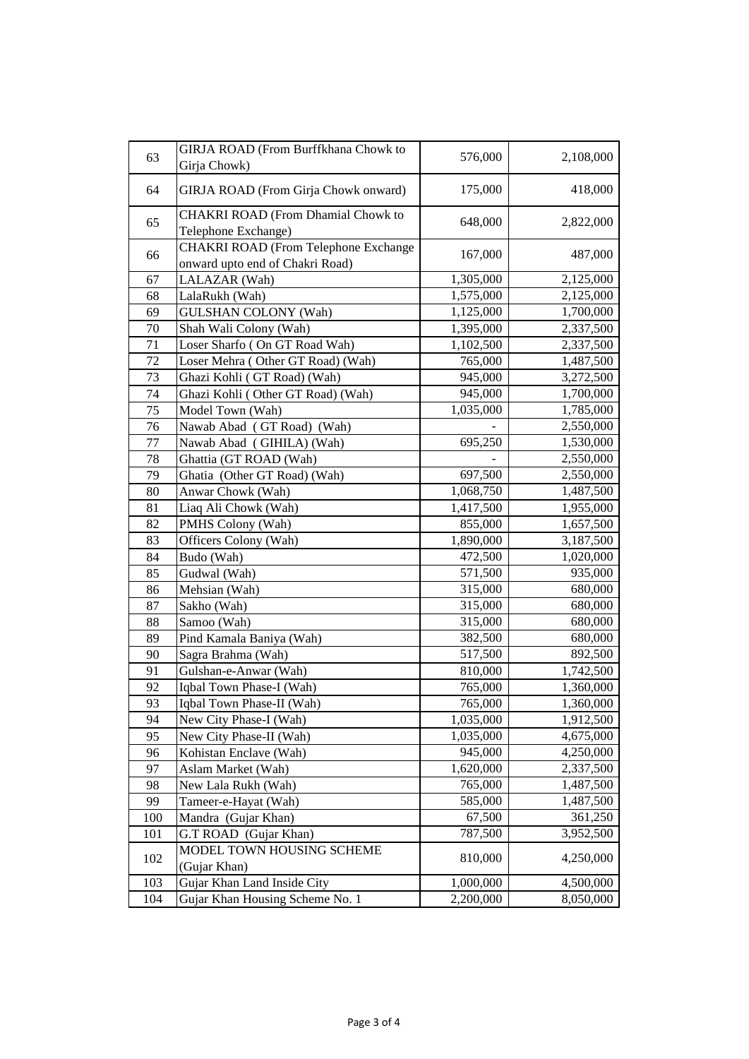| 63  | GIRJA ROAD (From Burffkhana Chowk to<br>Girja Chowk)                    | 576,000   | 2,108,000 |
|-----|-------------------------------------------------------------------------|-----------|-----------|
| 64  | GIRJA ROAD (From Girja Chowk onward)                                    | 175,000   | 418,000   |
| 65  | <b>CHAKRI ROAD (From Dhamial Chowk to</b><br>Telephone Exchange)        | 648,000   | 2,822,000 |
| 66  | CHAKRI ROAD (From Telephone Exchange<br>onward upto end of Chakri Road) | 167,000   | 487,000   |
| 67  | LALAZAR (Wah)                                                           | 1,305,000 | 2,125,000 |
| 68  | LalaRukh (Wah)                                                          | 1,575,000 | 2,125,000 |
| 69  | <b>GULSHAN COLONY (Wah)</b>                                             | 1,125,000 | 1,700,000 |
| 70  | Shah Wali Colony (Wah)                                                  | 1,395,000 | 2,337,500 |
| 71  | Loser Sharfo (On GT Road Wah)                                           | 1,102,500 | 2,337,500 |
| 72  | Loser Mehra (Other GT Road) (Wah)                                       | 765,000   | 1,487,500 |
| 73  | Ghazi Kohli (GT Road) (Wah)                                             | 945,000   | 3,272,500 |
| 74  | Ghazi Kohli (Other GT Road) (Wah)                                       | 945,000   | 1,700,000 |
| 75  | Model Town (Wah)                                                        | 1,035,000 | 1,785,000 |
| 76  | Nawab Abad (GT Road) (Wah)                                              |           | 2,550,000 |
| 77  | Nawab Abad (GIHILA) (Wah)                                               | 695,250   | 1,530,000 |
| 78  | Ghattia (GT ROAD (Wah)                                                  |           | 2,550,000 |
| 79  | Ghatia (Other GT Road) (Wah)                                            | 697,500   | 2,550,000 |
| 80  | Anwar Chowk (Wah)                                                       | 1,068,750 | 1,487,500 |
| 81  | Liaq Ali Chowk (Wah)                                                    | 1,417,500 | 1,955,000 |
| 82  | PMHS Colony (Wah)                                                       | 855,000   | 1,657,500 |
| 83  | Officers Colony (Wah)                                                   | 1,890,000 | 3,187,500 |
| 84  | Budo (Wah)                                                              | 472,500   | 1,020,000 |
| 85  | Gudwal (Wah)                                                            | 571,500   | 935,000   |
| 86  | Mehsian (Wah)                                                           | 315,000   | 680,000   |
| 87  | Sakho (Wah)                                                             | 315,000   | 680,000   |
| 88  | Samoo (Wah)                                                             | 315,000   | 680,000   |
| 89  | Pind Kamala Baniya (Wah)                                                | 382,500   | 680,000   |
| 90  | Sagra Brahma (Wah)                                                      | 517,500   | 892,500   |
| 91  | Gulshan-e-Anwar (Wah)                                                   | 810,000   | 1,742,500 |
| 92  | Iqbal Town Phase-I (Wah)                                                | 765,000   | 1,360,000 |
| 93  | Iqbal Town Phase-II (Wah)                                               | 765,000   | 1,360,000 |
| 94  | New City Phase-I (Wah)                                                  | 1,035,000 | 1,912,500 |
| 95  | New City Phase-II (Wah)                                                 | 1,035,000 | 4,675,000 |
| 96  | Kohistan Enclave (Wah)                                                  | 945,000   | 4,250,000 |
| 97  | Aslam Market (Wah)                                                      | 1,620,000 | 2,337,500 |
| 98  | New Lala Rukh (Wah)                                                     | 765,000   | 1,487,500 |
| 99  | Tameer-e-Hayat (Wah)                                                    | 585,000   | 1,487,500 |
| 100 | Mandra (Gujar Khan)                                                     | 67,500    | 361,250   |
| 101 | G.T ROAD (Gujar Khan)                                                   | 787,500   | 3,952,500 |
| 102 | MODEL TOWN HOUSING SCHEME<br>(Gujar Khan)                               | 810,000   | 4,250,000 |
| 103 | Gujar Khan Land Inside City                                             | 1,000,000 | 4,500,000 |
| 104 | Gujar Khan Housing Scheme No. 1                                         | 2,200,000 | 8,050,000 |